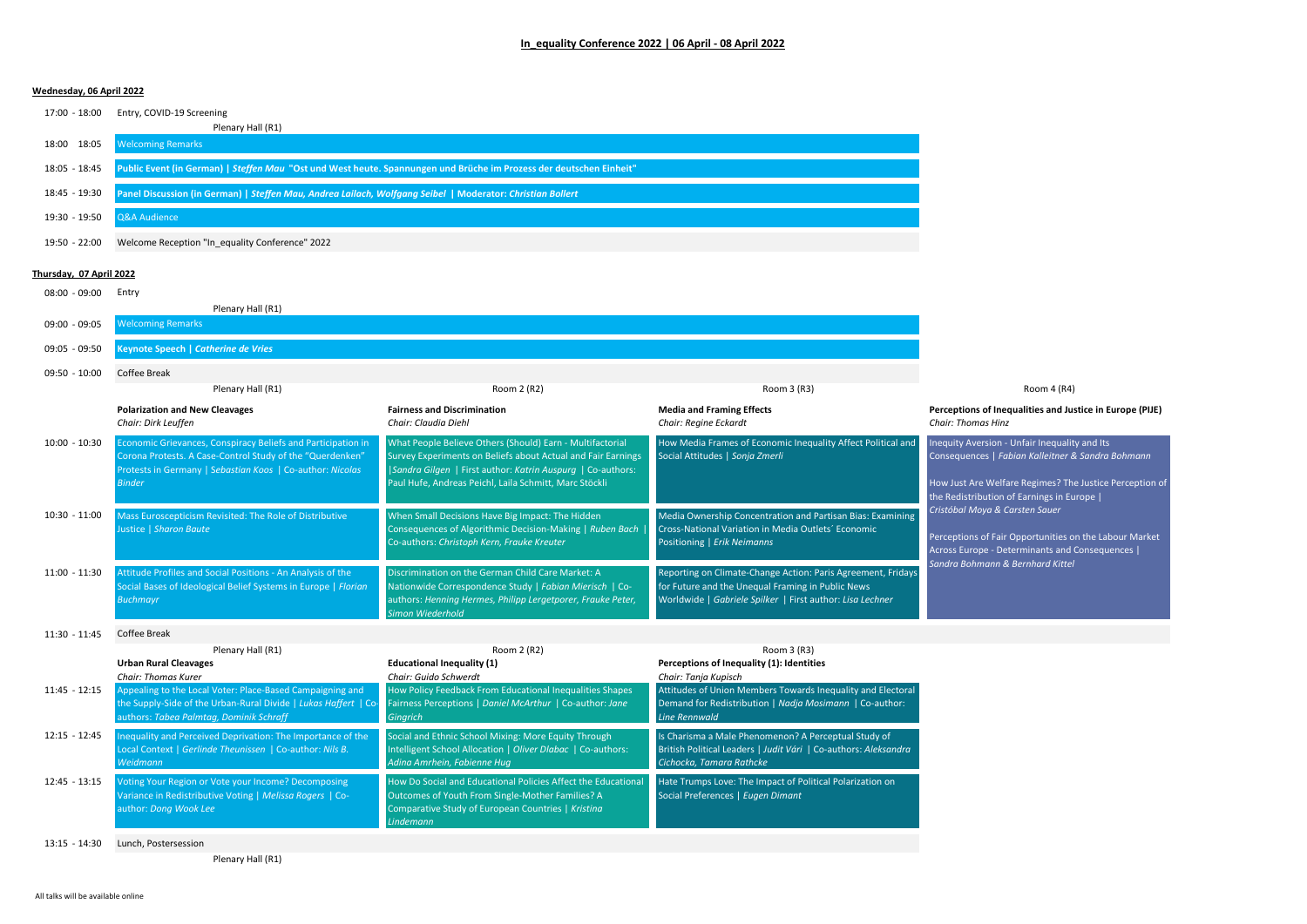## **Wednesday, 06 April 2022**

17:00 - 18:00 Entry, COVID-19 Screening

|               | Plenary Hall (R1)                                                                                                   |
|---------------|---------------------------------------------------------------------------------------------------------------------|
| 18:00 18:05   | <b>Welcoming Remarks</b>                                                                                            |
| 18:05 - 18:45 | Public Event (in German)   Steffen Mau "Ost und West heute. Spannungen und Brüche im Prozess der deutschen Einheit" |
| 18:45 - 19:30 | Panel Discussion (in German)   Steffen Mau, Andrea Lailach, Wolfgang Seibel   Moderator: Christian Bollert          |
| 19:30 - 19:50 | Q&A Audience                                                                                                        |
| 19:50 - 22:00 | Welcome Reception "In equality Conference" 2022                                                                     |

## **Thursday, 07 April 2022**

08:00 - 09:00 Entry

|                 | Plenary Hall (R1)                                                                                                                                                                                       |                                                                                                                                                                                                                                                    |                                                                                                                                                                                |                                                                                                                                                                                                           |  |
|-----------------|---------------------------------------------------------------------------------------------------------------------------------------------------------------------------------------------------------|----------------------------------------------------------------------------------------------------------------------------------------------------------------------------------------------------------------------------------------------------|--------------------------------------------------------------------------------------------------------------------------------------------------------------------------------|-----------------------------------------------------------------------------------------------------------------------------------------------------------------------------------------------------------|--|
| 09:00 - 09:05   | <b>Nelcoming Remarks</b>                                                                                                                                                                                |                                                                                                                                                                                                                                                    |                                                                                                                                                                                |                                                                                                                                                                                                           |  |
| 09:05 - 09:50   | Keynote Speech   Catherine de Vries                                                                                                                                                                     |                                                                                                                                                                                                                                                    |                                                                                                                                                                                |                                                                                                                                                                                                           |  |
| $09:50 - 10:00$ | Coffee Break                                                                                                                                                                                            |                                                                                                                                                                                                                                                    |                                                                                                                                                                                |                                                                                                                                                                                                           |  |
|                 | Plenary Hall (R1)                                                                                                                                                                                       | Room 2 (R2)                                                                                                                                                                                                                                        | Room 3 (R3)                                                                                                                                                                    | Room 4 (R4)                                                                                                                                                                                               |  |
|                 | <b>Polarization and New Cleavages</b><br>Chair: Dirk Leuffen                                                                                                                                            | <b>Fairness and Discrimination</b><br>Chair: Claudia Diehl                                                                                                                                                                                         | <b>Media and Framing Effects</b><br>Chair: Regine Eckardt                                                                                                                      | Perceptions of Inequalities and Justice in Europe (PIJE)<br><b>Chair: Thomas Hinz</b>                                                                                                                     |  |
| $10:00 - 10:30$ | Economic Grievances, Conspiracy Beliefs and Participation in<br>Corona Protests. A Case-Control Study of the "Querdenken"<br>Protests in Germany   Sebastian Koos   Co-author: Nicolas<br><b>Binder</b> | What People Believe Others (Should) Earn - Multifactorial<br>Survey Experiments on Beliefs about Actual and Fair Earnings<br> Sandra Gilgen   First author: Katrin Auspurg   Co-authors:<br>Paul Hufe, Andreas Peichl, Laila Schmitt, Marc Stöckli | How Media Frames of Economic Inequality Affect Political and<br>Social Attitudes   Sonja Zmerli                                                                                | Inequity Aversion - Unfair Inequality and Its<br>Consequences   Fabian Kalleitner & Sandra Bohmann<br>How Just Are Welfare Regimes? The Justice Perception of<br>the Redistribution of Earnings in Europe |  |
| $10:30 - 11:00$ | Mass Euroscepticism Revisited: The Role of Distributive<br>Justice   Sharon Baute                                                                                                                       | When Small Decisions Have Big Impact: The Hidden<br>Consequences of Algorithmic Decision-Making   Ruben Bach<br>Co-authors: Christoph Kern, Frauke Kreuter                                                                                         | Media Ownership Concentration and Partisan Bias: Examining<br>Cross-National Variation in Media Outlets' Economic<br>Positioning   Erik Neimanns                               | Cristóbal Moya & Carsten Sauer<br>Perceptions of Fair Opportunities on the Labour Market<br>Across Europe - Determinants and Consequences  <br>Sandra Bohmann & Bernhard Kittel                           |  |
| $11:00 - 11:30$ | Attitude Profiles and Social Positions - An Analysis of the<br>Social Bases of Ideological Belief Systems in Europe   Florian<br><b>Buchmayr</b>                                                        | Discrimination on the German Child Care Market: A<br>Nationwide Correspondence Study   Fabian Mierisch   Co-<br>authors: Henning Hermes, Philipp Lergetporer, Frauke Peter,<br>Simon Wiederhold                                                    | Reporting on Climate-Change Action: Paris Agreement, Fridays<br>for Future and the Unequal Framing in Public News<br>Worldwide   Gabriele Spilker   First author: Lisa Lechner |                                                                                                                                                                                                           |  |
| $11:30 - 11:45$ | Coffee Break                                                                                                                                                                                            |                                                                                                                                                                                                                                                    |                                                                                                                                                                                |                                                                                                                                                                                                           |  |
|                 | Plenary Hall (R1)                                                                                                                                                                                       | Room 2 (R2)                                                                                                                                                                                                                                        | Room 3 (R3)                                                                                                                                                                    |                                                                                                                                                                                                           |  |

|                                                                                                                                            |                                                                                                                                                                                      | 1100111311101                                                                                                                                       |
|--------------------------------------------------------------------------------------------------------------------------------------------|--------------------------------------------------------------------------------------------------------------------------------------------------------------------------------------|-----------------------------------------------------------------------------------------------------------------------------------------------------|
| <b>Urban Rural Cleavages</b>                                                                                                               | <b>Educational Inequality (1)</b>                                                                                                                                                    | Perceptions of Inequality (1): Identities                                                                                                           |
| Chair: Thomas Kurer                                                                                                                        | Chair: Guido Schwerdt                                                                                                                                                                | Chair: Tanja Kupisch                                                                                                                                |
| Appealing to the Local Voter: Place-Based Campaigning and                                                                                  | How Policy Feedback From Educational Inequalities Shapes                                                                                                                             | Attitudes of Union Members Towards Inequality and Electoral                                                                                         |
| the Supply-Side of the Urban-Rural Divide   Lukas Haffert   Co-                                                                            | Fairness Perceptions   Daniel McArthur   Co-author: Jane                                                                                                                             | Demand for Redistribution   Nadja Mosimann   Co-author:                                                                                             |
| authors: Tabea Palmtag, Dominik Schraff                                                                                                    | <b>Gingrich</b>                                                                                                                                                                      | <b>Line Rennwald</b>                                                                                                                                |
| Inequality and Perceived Deprivation: The Importance of the<br>Local Context   Gerlinde Theunissen   Co-author: Nils B.<br><b>Weidmann</b> | Social and Ethnic School Mixing: More Equity Through<br>Intelligent School Allocation   Oliver Dlabac   Co-authors:<br>Adina Amrhein, Fabienne Hug                                   | Is Charisma a Male Phenomenon? A Perceptual Study of<br>British Political Leaders   Judit Vári   Co-authors: Aleksandra<br>Cichocka, Tamara Rathcke |
| Voting Your Region or Vote your Income? Decomposing<br>Variance in Redistributive Voting   Melissa Rogers   Co-<br>author: Dong Wook Lee   | How Do Social and Educational Policies Affect the Educational<br>Outcomes of Youth From Single-Mother Families? A<br>Comparative Study of European Countries   Kristing<br>Lindemann | Hate Trumps Love: The Impact of Political Polarization on<br>Social Preferences   Eugen Dimant                                                      |
|                                                                                                                                            | $100101$ y $100111112$                                                                                                                                                               | 1000111211121                                                                                                                                       |

13:15 - 14:30 Lunch, Postersession

Plenary Hall (R1)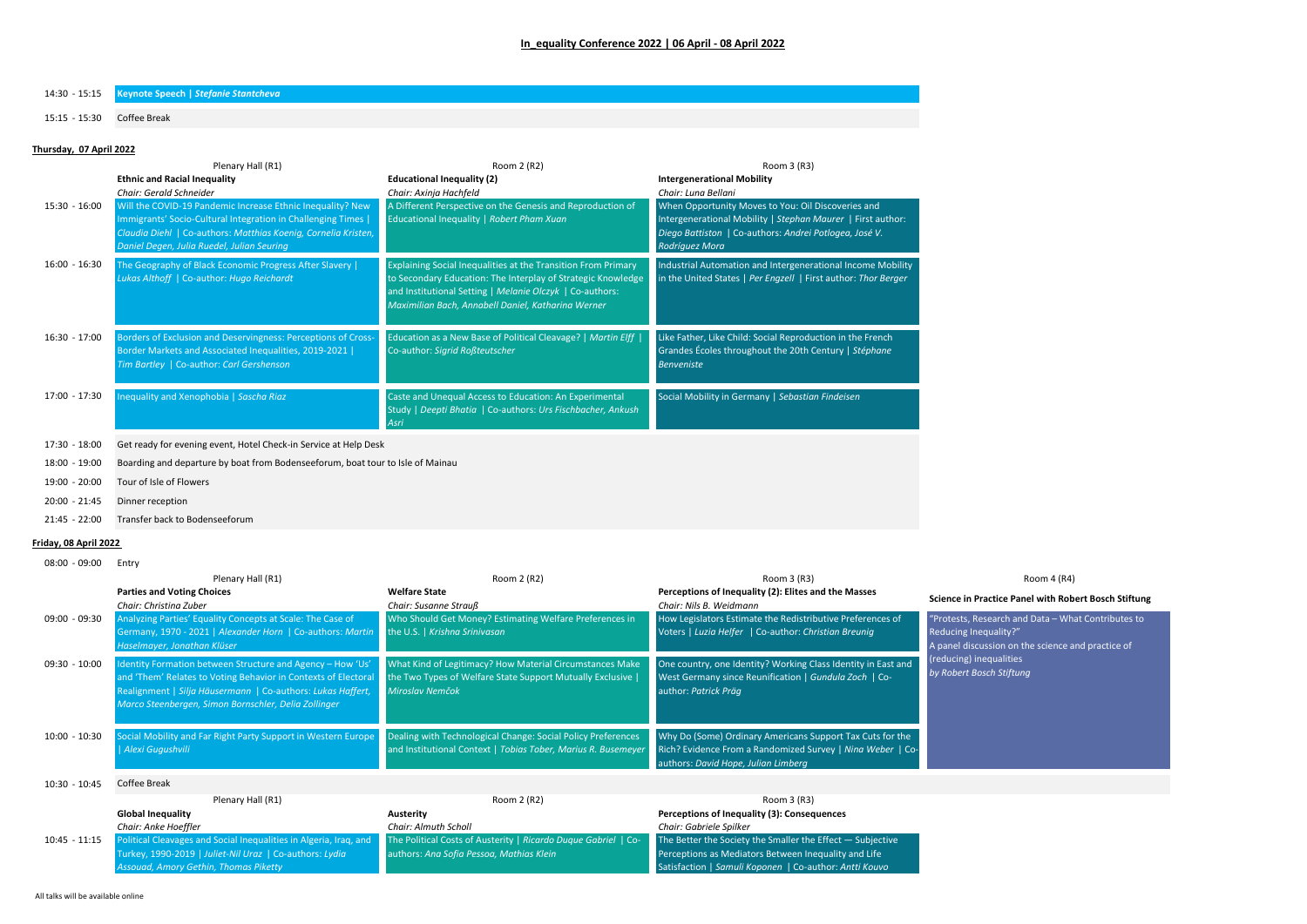## **In\_equality Conference 2022 | 06 April - 08 April 2022**

14:30 - 15:15 **Keynote Speech |** *Stefanie Stantcheva*

15:15 - 15:30 Coffee Break

#### **Thursday, 07 April 2022**

|                 | Plenary Hall (R1)                                                                                                                                                                                                                                                      | Room 2 (R2)                                                                                                                                                                                                                                     | Room 3 (R3)                                                                                                                                                                                                          |
|-----------------|------------------------------------------------------------------------------------------------------------------------------------------------------------------------------------------------------------------------------------------------------------------------|-------------------------------------------------------------------------------------------------------------------------------------------------------------------------------------------------------------------------------------------------|----------------------------------------------------------------------------------------------------------------------------------------------------------------------------------------------------------------------|
|                 | <b>Ethnic and Racial Inequality</b>                                                                                                                                                                                                                                    | <b>Educational Inequality (2)</b>                                                                                                                                                                                                               | <b>Intergenerational Mobility</b>                                                                                                                                                                                    |
| $15:30 - 16:00$ | Chair: Gerald Schneider<br>Will the COVID-19 Pandemic Increase Ethnic Inequality? New<br>Immigrants' Socio-Cultural Integration in Challenging Times  <br>Claudia Diehl   Co-authors: Matthias Koenig, Cornelia Kristen,<br>Daniel Degen, Julia Ruedel, Julian Seuring | Chair: Axinja Hachfeld<br>A Different Perspective on the Genesis and Reproduction of<br>Educational Inequality   Robert Pham Xuan                                                                                                               | Chair: Luna Bellani<br>When Opportunity Moves to You: Oil Discoveries and<br>Intergenerational Mobility   Stephan Maurer   First author:<br>Diego Battiston   Co-authors: Andrei Potlogea, José V.<br>Rodríguez Mora |
| $16:00 - 16:30$ | The Geography of Black Economic Progress After Slavery  <br>Lukas Althoff   Co-author: Hugo Reichardt                                                                                                                                                                  | Explaining Social Inequalities at the Transition From Primary<br>to Secondary Education: The Interplay of Strategic Knowledge<br>and Institutional Setting   Melanie Olczyk   Co-authors:<br>Maximilian Bach, Annabell Daniel, Katharina Werner | Industrial Automation and Intergenerational Income Mobility<br>in the United States   Per Engzell   First author: Thor Berger                                                                                        |
| $16:30 - 17:00$ | Borders of Exclusion and Deservingness: Perceptions of Cross-<br>Border Markets and Associated Inequalities, 2019-2021  <br>Tim Bartley   Co-author: Carl Gershenson                                                                                                   | Education as a New Base of Political Cleavage?   Martin Elff  <br>Co-author: Sigrid Roßteutscher                                                                                                                                                | Like Father, Like Child: Social Reproduction in the French<br>Grandes Écoles throughout the 20th Century   Stéphane<br><b>Benveniste</b>                                                                             |
| 17:00 - 17:30   | Inequality and Xenophobia   Sascha Riaz                                                                                                                                                                                                                                | Caste and Unequal Access to Education: An Experimental<br>Study   Deepti Bhatia   Co-authors: Urs Fischbacher, Ankush<br>Asri                                                                                                                   | Social Mobility in Germany   Sebastian Findeisen                                                                                                                                                                     |

17:30 - 18:00 Get ready for evening event, Hotel Check-in Service at Help Desk

18:00 - 19:00 Boarding and departure by boat from Bodenseeforum, boat tour to Isle of Mainau

- 19:00 20:00 Tour of Isle of Flowers
- 20:00 21:45 Dinner reception
- 21:45 22:00 Transfer back to Bodenseeforum

# **Friday, 08 April 2022**

| $08:00 - 09:00$ | Entry                                                                                                                                                                                                                                               |                                                                                                                                            |                                                                                                                                                                |                                                                                                                                  |
|-----------------|-----------------------------------------------------------------------------------------------------------------------------------------------------------------------------------------------------------------------------------------------------|--------------------------------------------------------------------------------------------------------------------------------------------|----------------------------------------------------------------------------------------------------------------------------------------------------------------|----------------------------------------------------------------------------------------------------------------------------------|
|                 | Plenary Hall (R1)                                                                                                                                                                                                                                   | Room 2 (R2)                                                                                                                                | Room 3 (R3)                                                                                                                                                    | Room 4 (R4)                                                                                                                      |
|                 | <b>Parties and Voting Choices</b><br>Chair: Christina Zuber                                                                                                                                                                                         | <b>Welfare State</b><br>Chair: Susanne Strauß                                                                                              | Perceptions of Inequality (2): Elites and the Masses<br>Chair: Nils B. Weidmann                                                                                | Science in Practice Panel with Robert Bosch Stiftung                                                                             |
| 09:00 - 09:30   | Analyzing Parties' Equality Concepts at Scale: The Case of<br>Germany, 1970 - 2021   Alexander Horn   Co-authors: Martin<br>Haselmayer, Jonathan Klüser                                                                                             | Who Should Get Money? Estimating Welfare Preferences in<br>the U.S.   Krishna Srinivasan                                                   | How Legislators Estimate the Redistributive Preferences of<br>Voters   Luzia Helfer   Co-author: Christian Breunig                                             | "Protests, Research and Data - What Contributes to<br>Reducing Inequality?"<br>A panel discussion on the science and practice of |
| $09:30 - 10:00$ | Identity Formation between Structure and Agency - How 'Us'<br>and 'Them' Relates to Voting Behavior in Contexts of Electoral<br>Realignment   Silja Häusermann   Co-authors: Lukas Haffert,<br>Marco Steenbergen, Simon Bornschler, Delia Zollinger | What Kind of Legitimacy? How Material Circumstances Make<br>the Two Types of Welfare State Support Mutually Exclusive  <br>Miroslav Nemčok | One country, one Identity? Working Class Identity in East and<br>West Germany since Reunification   Gundula Zoch   Co-<br>author: Patrick Präg                 | (reducing) inequalities<br>by Robert Bosch Stiftung                                                                              |
| $10:00 - 10:30$ | Social Mobility and Far Right Party Support in Western Europe<br>Alexi Gugushvili                                                                                                                                                                   | Dealing with Technological Change: Social Policy Preferences<br>and Institutional Context   Tobias Tober, Marius R. Busemeyer              | Why Do (Some) Ordinary Americans Support Tax Cuts for the<br>Rich? Evidence From a Randomized Survey   Nina Weber   Co-<br>authors: David Hope, Julian Limberg |                                                                                                                                  |
| $10:30 - 10:45$ | Coffee Break                                                                                                                                                                                                                                        |                                                                                                                                            |                                                                                                                                                                |                                                                                                                                  |
|                 | Plenary Hall (R1)                                                                                                                                                                                                                                   | Room 2 (R2)                                                                                                                                | Room 3 (R3)                                                                                                                                                    |                                                                                                                                  |
|                 | <b>Global Inequality</b>                                                                                                                                                                                                                            | Austerity                                                                                                                                  | Perceptions of Inequality (3): Consequences                                                                                                                    |                                                                                                                                  |

|                 | <b>PROPRIMEDIATION</b>                                            | <b>1995-11-1</b>                                               | rereeptions of inequality (s). consequences                                 |
|-----------------|-------------------------------------------------------------------|----------------------------------------------------------------|-----------------------------------------------------------------------------|
|                 | Chair: Anke Hoeffler                                              | Chair: Almuth Scholl                                           | Chair: Gabriele Spilker                                                     |
| $10:45 - 11:15$ | Political Cleavages and Social Inequalities in Algeria, Iraq, and | The Political Costs of Austerity   Ricardo Duaue Gabriel   Co- | $\blacksquare$ The Better the Society the Smaller the Effect $-$ Subjective |
|                 | Turkey, 1990-2019   Juliet-Nil Uraz   Co-authors: Lydia           | authors: Ana Sofia Pessoa, Mathias Klein                       | Perceptions as Mediators Between Inequality and Life                        |
|                 | Assouad, Amory Gethin, Thomas Piketty                             |                                                                | Satisfaction   Samuli Koponen   Co-author: Antti Kouvo                      |